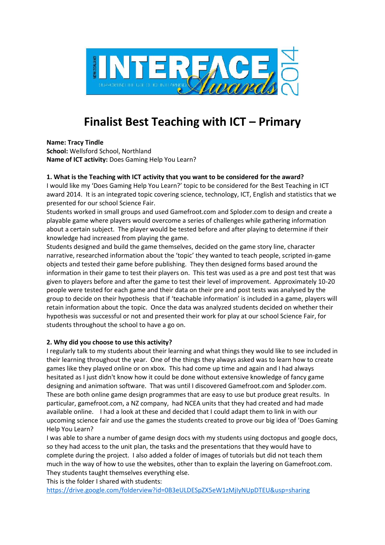

# **Finalist Best Teaching with ICT – Primary**

**Name: Tracy Tindle**

**School:** Wellsford School, Northland **Name of ICT activity:** Does Gaming Help You Learn?

## **1. What is the Teaching with ICT activity that you want to be considered for the award?**

I would like my 'Does Gaming Help You Learn?' topic to be considered for the Best Teaching in ICT award 2014. It is an integrated topic covering science, technology, ICT, English and statistics that we presented for our school Science Fair.

Students worked in small groups and used Gamefroot.com and Sploder.com to design and create a playable game where players would overcome a series of challenges while gathering information about a certain subject. The player would be tested before and after playing to determine if their knowledge had increased from playing the game.

Students designed and build the game themselves, decided on the game story line, character narrative, researched information about the 'topic' they wanted to teach people, scripted in-game objects and tested their game before publishing. They then designed forms based around the information in their game to test their players on. This test was used as a pre and post test that was given to players before and after the game to test their level of improvement. Approximately 10-20 people were tested for each game and their data on their pre and post tests was analysed by the group to decide on their hypothesis that if 'teachable information' is included in a game, players will retain information about the topic. Once the data was analyzed students decided on whether their hypothesis was successful or not and presented their work for play at our school Science Fair, for students throughout the school to have a go on.

## **2. Why did you choose to use this activity?**

I regularly talk to my students about their learning and what things they would like to see included in their learning throughout the year. One of the things they always asked was to learn how to create games like they played online or on xbox. This had come up time and again and I had always hesitated as I just didn't know how it could be done without extensive knowledge of fancy game designing and animation software. That was until I discovered Gamefroot.com and Sploder.com. These are both online game design programmes that are easy to use but produce great results. In particular, gamefroot.com, a NZ company, had NCEA units that they had created and had made available online. I had a look at these and decided that I could adapt them to link in with our upcoming science fair and use the games the students created to prove our big idea of 'Does Gaming Help You Learn?

I was able to share a number of game design docs with my students using doctopus and google docs, so they had access to the unit plan, the tasks and the presentations that they would have to complete during the project. I also added a folder of images of tutorials but did not teach them much in the way of how to use the websites, other than to explain the layering on Gamefroot.com. They students taught themselves everything else.

This is the folder I shared with students:

https://drive.google.com/folderview?id=0B3eULDESpZX5eW1zMjIyNUpDTEU&usp=sharing